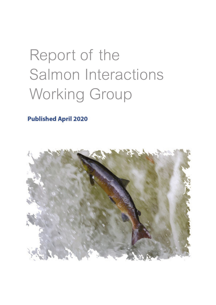# Report of the Salmon Interactions Working Group

**Published April 2020** 

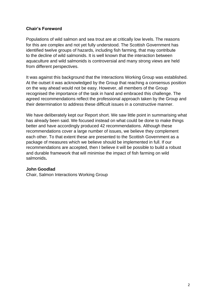## **Chair's Foreword**

Populations of wild salmon and sea trout are at critically low levels. The reasons for this are complex and not yet fully understood. The Scottish Government has identified twelve groups of hazards, including fish farming, that may contribute to the decline of wild salmonids. It is well known that the interaction between aquaculture and wild salmonids is controversial and many strong views are held from different perspectives.

It was against this background that the Interactions Working Group was established. At the outset it was acknowledged by the Group that reaching a consensus position on the way ahead would not be easy. However, all members of the Group recognised the importance of the task in hand and embraced this challenge. The agreed recommendations reflect the professional approach taken by the Group and their determination to address these difficult issues in a constructive manner.

We have deliberately kept our Report short. We saw little point in summarising what has already been said. We focused instead on what could be done to make things better and have accordingly produced 42 recommendations. Although these recommendations cover a large number of issues, we believe they complement each other. To that extent these are presented to the Scottish Government as a package of measures which we believe should be implemented in full. If our recommendations are accepted, then I believe it will be possible to build a robust and durable framework that will minimise the impact of fish farming on wild salmonids**.** 

#### **John Goodlad**

Chair, Salmon Interactions Working Group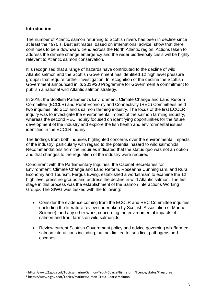#### **Introduction**

The number of Atlantic salmon returning to Scottish rivers has been in decline since at least the 1970's. Best estimates, based on international advice, show that there continues to be a downward trend across the North Atlantic region. Actions taken to address the climate change emergency and the wider biodiversity crisis will be highly relevant to Atlantic salmon conservation.

It is recognised that a range of hazards have contributed to the decline of wild Atlantic salmon and the Scottish Government has identified 12 high level pressure groups<sub>1</sub> that require further investigation. In recognition of the decline the Scottish Government announced in its 2019/20 Programme for Government a commitment to publish a national wild Atlantic salmon strategy.

In 2018, the Scottish Parliament's Environment, Climate Change and Land Reform Committee (ECCLR) and Rural Economy and Connectivity (REC) Committees held two inquiries into Scotland's salmon farming industry. The focus of the first ECCLR inquiry was to investigate the environmental impact of the salmon farming industry, whereas the second REC inquiry focused on identifying opportunities for the future development of the industry and explore the fish health and environmental issues identified in the ECCLR inquiry.

The findings from both inquiries highlighted concerns over the environmental impacts of the industry, particularly with regard to the potential hazard to wild salmonids. Recommendations from the inquiries indicated that the status quo was not an option and that changes to the regulation of the industry were required.

Concurrent with the Parliamentary Inquiries, the Cabinet Secretaries for Environment, Climate Change and Land Reform, Roseanna Cunningham, and Rural Economy and Tourism, Fergus Ewing, established a workstream to examine the 12 high level pressure groups and address the decline in wild Atlantic salmon. The first stage in this process was the establishment of the Salmon Interactions Working Group2. The SIWG was tasked with the following:

- Consider the evidence coming from the ECCLR and REC Committee inquiries (including the literature review undertaken by Scottish Association of Marine Science), and any other work, concerning the environmental impacts of salmon and trout farms on wild salmonids;
- Review current Scottish Government policy and advice governing wild/farmed salmon interactions including, but not limited to, sea lice, pathogens and escapes;

<sup>1</sup> https://www2.gov.scot/Topics/marine/Salmon-Trout-Coarse/fishreform/licence/status/Pressures

<sup>2</sup> https://www2.gov.scot/Topics/marine/Salmon-Trout-Coarse/salmon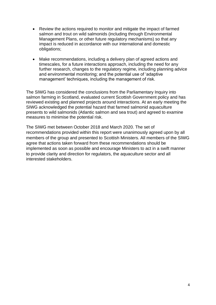- Review the actions required to monitor and mitigate the impact of farmed salmon and trout on wild salmonids (including through Environmental Management Plans, or other future regulatory mechanisms) so that any impact is reduced in accordance with our international and domestic obligations;
- Make recommendations, including a delivery plan of agreed actions and timescales, for a future interactions approach, including the need for any further research, changes to the regulatory regime, including planning advice and environmental monitoring; and the potential use of 'adaptive management' techniques, including the management of risk.

The SIWG has considered the conclusions from the Parliamentary Inquiry into salmon farming in Scotland, evaluated current Scottish Government policy and has reviewed existing and planned projects around interactions. At an early meeting the SIWG acknowledged the potential hazard that farmed salmonid aquaculture presents to wild salmonids (Atlantic salmon and sea trout) and agreed to examine measures to minimise the potential risk.

The SIWG met between October 2018 and March 2020. The set of recommendations provided within this report were unanimously agreed upon by all members of the group and presented to Scottish Ministers. All members of the SIWG agree that actions taken forward from these recommendations should be implemented as soon as possible and encourage Ministers to act in a swift manner to provide clarity and direction for regulators, the aquaculture sector and all interested stakeholders.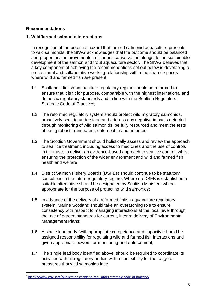# **Recommendations**

# **1. Wild/farmed salmonid interactions**

In recognition of the potential hazard that farmed salmonid aquaculture presents to wild salmonids, the SIWG acknowledges that the outcome should be balanced and proportional improvements to fisheries conservation alongside the sustainable development of the salmon and trout aquaculture sector. The SIWG believes that a key component of achieving the recommendations set out below is developing a professional and collaborative working relationship within the shared spaces where wild and farmed fish are present.

- 1.1 Scotland's finfish aquaculture regulatory regime should be reformed to ensure that it is fit for purpose, comparable with the highest international and domestic regulatory standards and in line with the Scottish Regulators Strategic Code of Practice3;
- 1.2 The reformed regulatory system should protect wild migratory salmonids, proactively seek to understand and address any negative impacts detected through monitoring of wild salmonids, be fully resourced and meet the tests of being robust, transparent, enforceable and enforced;
- 1.3 The Scottish Government should holistically assess and review the approach to sea lice treatment, including access to medicines and the use of controls in their use, to deliver an evidence-based approach to sea lice control, whilst ensuring the protection of the wider environment and wild and farmed fish health and welfare;
- 1.4 District Salmon Fishery Boards (DSFBs) should continue to be statutory consultees in the future regulatory regime. Where no DSFB is established a suitable alternative should be designated by Scottish Ministers where appropriate for the purpose of protecting wild salmonids;
- 1.5 In advance of the delivery of a reformed finfish aquaculture regulatory system, Marine Scotland should take an overarching role to ensure consistency with respect to managing interactions at the local level through the use of agreed standards for current, interim delivery of Environmental Management Plans;
- 1.6 A single lead body (with appropriate competence and capacity) should be assigned responsibility for regulating wild and farmed fish interactions and given appropriate powers for monitoring and enforcement;
- 1.7 The single lead body identified above, should be required to coordinate its activities with all regulatory bodies with responsibility for the range of pressures that wild salmonids face;

<sup>3</sup> <https://www.gov.scot/publications/scottish-regulators-strategic-code-of-practice/>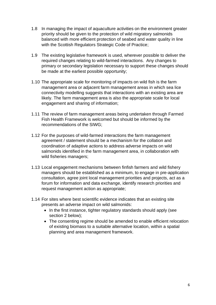- 1.8 In managing the impact of aquaculture activities on the environment greater priority should be given to the protection of wild migratory salmonids balanced with more efficient protection of seabed and water quality in line with the Scottish Regulators Strategic Code of Practice;
- 1.9 The existing legislative framework is used, wherever possible to deliver the required changes relating to wild-farmed interactions. Any changes to primary or secondary legislation necessary to support these changes should be made at the earliest possible opportunity;
- 1.10 The appropriate scale for monitoring of impacts on wild fish is the farm management area or adjacent farm management areas in which sea lice connectivity modelling suggests that interactions with an existing area are likely. The farm management area is also the appropriate scale for local engagement and sharing of information;
- 1.11 The review of farm management areas being undertaken through Farmed Fish Health Framework is welcomed but should be informed by the recommendations of the SIWG;
- 1.12 For the purposes of wild-farmed interactions the farm management agreement / statement should be a mechanism for the collation and coordination of adaptive actions to address adverse impacts on wild salmonids identified in the farm management area, in collaboration with wild fisheries managers;
- 1.13 Local engagement mechanisms between finfish farmers and wild fishery managers should be established as a minimum, to engage in pre-application consultation, agree joint local management priorities and projects, act as a forum for information and data exchange, identify research priorities and request management action as appropriate;
- 1.14 For sites where best scientific evidence indicates that an existing site presents an adverse impact on wild salmonids:
	- In the first instance, tighter regulatory standards should apply (see section 2 below);
	- The consenting regime should be amended to enable efficient relocation of existing biomass to a suitable alternative location, within a spatial planning and area management framework.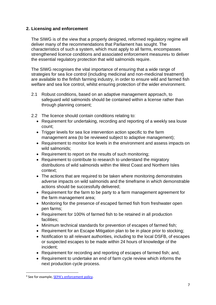# **2. Licensing and enforcement**

The SIWG is of the view that a properly designed, reformed regulatory regime will deliver many of the recommendations that Parliament has sought. The characteristics of such a system, which must apply to all farms, encompasses strengthened licence conditions and associated enforcement measures4 to deliver the essential regulatory protection that wild salmonids require.

The SIWG recognises the vital importance of ensuring that a wide range of strategies for sea lice control (including medicinal and non-medicinal treatment) are available to the finfish farming industry, in order to ensure wild and farmed fish welfare and sea lice control, whilst ensuring protection of the wider environment.

- 2.1 Robust conditions, based on an adaptive management approach, to safeguard wild salmonids should be contained within a license rather than through planning consent;
- 2.2 The licence should contain conditions relating to:
	- Requirement for undertaking, recording and reporting of a weekly sea louse count;
	- Trigger levels for sea lice intervention action specific to the farm management area (to be reviewed subject to adaptive management);
	- Requirement to monitor lice levels in the environment and assess impacts on wild salmonids;
	- Requirement to report on the results of such monitoring;
	- Requirement to contribute to research to understand the migratory distributions of wild salmonids within the West Coast and Northern Isles context;
	- The actions that are required to be taken where monitoring demonstrates adverse impacts on wild salmonids and the timeframe in which demonstrable actions should be successfully delivered;
	- Requirement for the farm to be party to a farm management agreement for the farm management area;
	- Monitoring for the presence of escaped farmed fish from freshwater open pen farms;
	- Requirement for 100% of farmed fish to be retained in all production facilities;
	- Minimum technical standards for prevention of escapes of farmed fish;
	- Requirement for an Escape Mitigation plan to be in place prior to stocking;
	- Notification to all relevant authorities, including to the local DSFB, of escapes or suspected escapes to be made within 24 hours of knowledge of the incident;
	- Requirement for recording and reporting of escapes of farmed fish; and,
	- Requirement to undertake an end of farm cycle review which informs the next production cycle process.

<sup>&</sup>lt;sup>4</sup> See for example, **SEPA's enforcement policy**.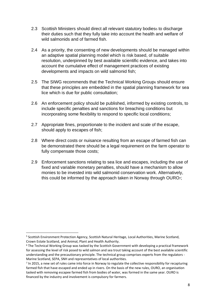- 2.3 Scottish Ministers should direct all relevant statutory bodies<sub>5</sub> to discharge their duties such that they fully take into account the health and welfare of wild salmonids and of farmed fish.
- 2.4 As a priority, the consenting of new developments should be managed within an adaptive spatial planning model which is risk based, of suitable resolution, underpinned by best available scientific evidence, and takes into account the cumulative effect of management practices of existing developments and impacts on wild salmonid fish;
- 2.5 The SIWG recommends that the Technical Working Group6 should ensure that these principles are embedded in the spatial planning framework for sea lice which is due for public consultation;
- 2.6 An enforcement policy should be published, informed by existing controls, to include specific penalties and sanctions for breaching conditions but incorporating some flexibility to respond to specific local conditions;
- 2.7 Appropriate fines, proportionate to the incident and scale of the escape, should apply to escapes of fish;
- 2.8 Where direct costs or nuisance resulting from an escape of farmed fish can be demonstrated there should be a legal requirement on the farm operator to fully compensate those costs;
- 2.9 Enforcement sanctions relating to sea lice and escapes, including the use of fixed and variable monetary penalties, should have a mechanism to allow monies to be invested into wild salmonid conservation work. Alternatively, this could be informed by the approach taken in Norway through OURO7;

<sup>5</sup> Scottish Environment Protection Agency, Scottish Natural Heritage, Local Authorities, Marine Scotland, Crown Estate Scotland, and Animal, Plant and Health Authority.

<sup>6</sup> The Technical Working Group was tasked by the Scottish Government with developing a practical framework for assessing the level of risk posed to wild salmon and sea trout taking account of the best available scientific understanding and the precautionary principle. The technical group comprises experts from the regulators - Marine Scotland, SEPA, SNH and representatives of local authorities.

<sup>&</sup>lt;sup>7</sup> In 2015, a new set of rules came into force in Norway to regulate the collective responsibility for recapturing farmed fish that have escaped and ended up in rivers. On the basis of the new rules, OURO, an organisation tasked with removing escapee farmed fish from bodies of water, was formed in the same year. OURO is financed by the industry and involvement is compulsory for farmers.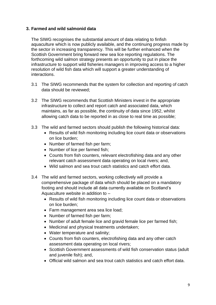## **3. Farmed and wild salmonid data**

The SIWG recognises the substantial amount of data relating to finfish aquaculture which is now publicly available, and the continuing progress made by the sector in increasing transparency. This will be further enhanced when the Scottish Government bring forward new sea lice reporting regulations. The forthcoming wild salmon strategy presents an opportunity to put in place the infrastructure to support wild fisheries managers in improving access to a higher resolution of wild fish data which will support a greater understanding of interactions.

- 3.1 The SIWG recommends that the system for collection and reporting of catch data should be reviewed;
- 3.2 The SIWG recommends that Scottish Ministers invest in the appropriate infrastructure to collect and report catch and associated data, which maintains, as far as possible, the continuity of data since 1952, whilst allowing catch data to be reported in as close to real time as possible;
- 3.3 The wild and farmed sectors should publish the following historical data:
	- Results of wild fish monitoring including lice count data or observations on lice burden;
	- Number of farmed fish per farm;
	- Number of lice per farmed fish;
	- Counts from fish counters, relevant electrofishing data and any other relevant catch assessment data operating on local rivers; and,
	- Wild salmon and sea trout catch statistics and catch effort data.
- 3.4 The wild and farmed sectors, working collectively will provide a comprehensive package of data which should be placed on a mandatory footing and should include all data currently available on Scotland's Aquaculture website in addition to –
	- Results of wild fish monitoring including lice count data or observations on lice burden;
	- Farm management area sea lice load;
	- Number of farmed fish per farm;
	- Number of adult female lice and gravid female lice per farmed fish;
	- Medicinal and physical treatments undertaken;
	- Water temperature and salinity;
	- Counts from fish counters, electrofishing data and any other catch assessment data operating on local rivers;
	- Scottish Government assessments of wild fish conservation status (adult and juvenile fish); and,
	- Official wild salmon and sea trout catch statistics and catch effort data.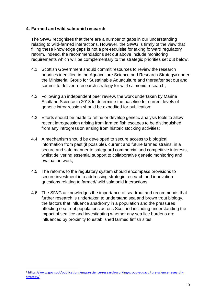## **4. Farmed and wild salmonid research**

The SIWG recognises that there are a number of gaps in our understanding relating to wild-farmed interactions. However, the SIWG is firmly of the view that filling these knowledge gaps is not a pre-requisite for taking forward regulatory reform. Indeed, the recommendations set out above include monitoring requirements which will be complementary to the strategic priorities set out below.

- 4.1 Scottish Government should commit resources to review the research priorities identified in the Aquaculture Science and Research Strategys under the Ministerial Group for Sustainable Aquaculture and thereafter set out and commit to deliver a research strategy for wild salmonid research;
- 4.2 Following an independent peer review, the work undertaken by Marine Scotland Science in 2018 to determine the baseline for current levels of genetic introgression should be expedited for publication;
- 4.3 Efforts should be made to refine or develop genetic analysis tools to allow recent introgression arising from farmed fish escapes to be distinguished from any introgression arising from historic stocking activities;
- 4.4 A mechanism should be developed to secure access to biological information from past (if possible), current and future farmed strains, in a secure and safe manner to safeguard commercial and competitive interests, whilst delivering essential support to collaborative genetic monitoring and evaluation work;
- 4.5 The reforms to the regulatory system should encompass provisions to secure investment into addressing strategic research and innovation questions relating to farmed/ wild salmonid interactions;
- 4.6 The SIWG acknowledges the importance of sea trout and recommends that further research is undertaken to understand sea and brown trout biology, the factors that influence anadromy in a population and the pressures affecting sea trout populations across Scotland including understanding the impact of sea lice and investigating whether any sea lice burdens are influenced by proximity to established farmed finfish sites.

<sup>8</sup> [https://www.gov.scot/publications/mgsa-science-research-working-group-aquaculture-science-research](https://www.gov.scot/publications/mgsa-science-research-working-group-aquaculture-science-research-strategy/)[strategy/](https://www.gov.scot/publications/mgsa-science-research-working-group-aquaculture-science-research-strategy/)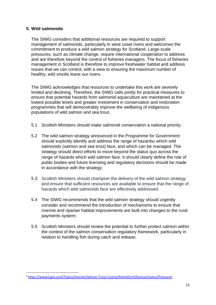## **5. Wild salmonids**

The SIWG considers that additional resources are required to support management of salmonids, particularly in west coast rivers and welcomes the commitment to produce a wild salmon strategy for Scotland. Large-scale pressures, such as climate change, require international cooperation to address and are therefore beyond the control of fisheries managers. The focus of fisheries management in Scotland is therefore to improve freshwater habitat and address issues that we can control, with a view to ensuring the maximum number of healthy, wild smolts leave our rivers.

The SIWG acknowledges that resources to undertake this work are severely limited and declining. Therefore, the SIWG calls jointly for practical measures to ensure that potential hazards from salmonid aquaculture are maintained at the lowest possible levels and greater investment in conservation and restoration programmes that will demonstrably improve the wellbeing of indigenous populations of wild salmon and sea trout.

- 5.1 Scottish Ministers should make salmonid conservation a national priority;
- 5.2 The wild salmon strategy announced in the Programme for Government should explicitly identify and address the range of hazards9 which wild salmonids (salmon and sea trout) face, and which can be managed. The strategy should direct efforts to move beyond the status quo across the range of hazards which wild salmon face. It should clearly define the role of public bodies and future licensing and regulatory decisions should be made in accordance with the strategy;
- 5.3 Scottish Ministers should champion the delivery of the wild salmon strategy and ensure that sufficient resources are available to ensure that the range of hazards which wild salmonids face are effectively addressed.
- 5.4 The SIWG recommends that the wild salmon strategy should urgently consider and recommend the introduction of mechanisms to ensure that riverine and riparian habitat improvements are built into changes to the rural payments system;
- 5.5 Scottish Ministers should review the potential to further protect salmon within the context of the salmon conservation regulatory framework, particularly in relation to handling fish during catch and release;

<sup>9</sup> <https://www2.gov.scot/Topics/marine/Salmon-Trout-Coarse/fishreform/licence/status/Pressures>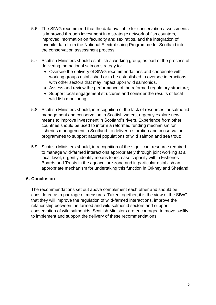- 5.6 The SIWG recommend that the data available for conservation assessments is improved through investment in a strategic network of fish counters, improved information on fecundity and sex ratios, and the integration of juvenile data from the National Electrofishing Programme for Scotland into the conservation assessment process;
- 5.7 Scottish Ministers should establish a working group, as part of the process of delivering the national salmon strategy to:
	- Oversee the delivery of SIWG recommendations and coordinate with working groups established or to be established to oversee interactions with other sectors that may impact upon wild salmonids.
	- Assess and review the performance of the reformed regulatory structure;
	- Support local engagement structures and consider the results of local wild fish monitoring.
- 5.8 Scottish Ministers should, in recognition of the lack of resources for salmonid management and conservation in Scottish waters, urgently explore new means to improve investment in Scotland's rivers. Experience from other countries should be used to inform a reformed funding mechanism for fisheries management in Scotland, to deliver restoration and conservation programmes to support natural populations of wild salmon and sea trout;
- 5.9 Scottish Ministers should, in recognition of the significant resource required to manage wild-farmed interactions appropriately through joint working at a local level, urgently identify means to increase capacity within Fisheries Boards and Trusts in the aquaculture zone and in particular establish an appropriate mechanism for undertaking this function in Orkney and Shetland.

# **6. Conclusion**

The recommendations set out above complement each other and should be considered as a package of measures. Taken together, it is the view of the SIWG that they will improve the regulation of wild-farmed interactions, improve the relationship between the farmed and wild salmonid sectors and support conservation of wild salmonids. Scottish Ministers are encouraged to move swiftly to implement and support the delivery of these recommendations.